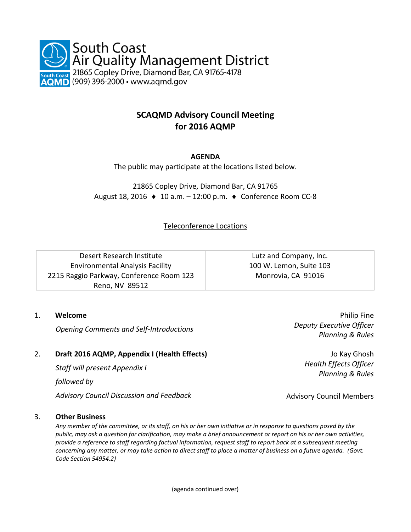

# **SCAQMD Advisory Council Meeting for 2016 AQMP**

# **AGENDA**

The public may participate at the locations listed below.

21865 Copley Drive, Diamond Bar, CA 91765 August 18, 2016  $\triangleleft$  10 a.m. – 12:00 p.m.  $\triangleleft$  Conference Room CC-8

Teleconference Locations

| Desert Research Institute                | Lutz and Company, Inc.  |
|------------------------------------------|-------------------------|
| <b>Environmental Analysis Facility</b>   | 100 W. Lemon, Suite 103 |
| 2215 Raggio Parkway, Conference Room 123 | Monrovia, CA 91016      |
| Reno, NV 89512                           |                         |

## 1. **Welcome**

*Opening Comments and Self-Introductions*

## 2. **Draft 2016 AQMP, Appendix I (Health Effects)**

*Staff will present Appendix I*

*followed by*

*Advisory Council Discussion and Feedback*

## 3. **Other Business**

*Any member of the committee, or its staff, on his or her own initiative or in response to questions posed by the public, may ask a question for clarification, may make a brief announcement or report on his or her own activities, provide a reference to staff regarding factual information, request staff to report back at a subsequent meeting concerning any matter, or may take action to direct staff to place a matter of business on a future agenda. (Govt. Code Section 54954.2)*

(agenda continued over)

Philip Fine *Deputy Executive Officer Planning & Rules*

Jo Kay Ghosh *Health Effects Officer Planning & Rules*

Advisory Council Members